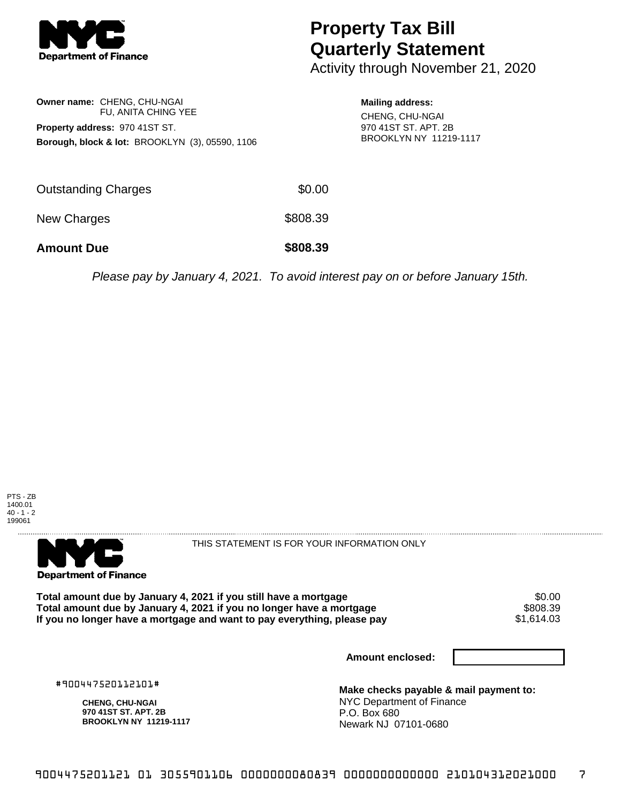

## **Property Tax Bill Quarterly Statement**

Activity through November 21, 2020

|                                                            | Owner name: CHENG, CHU-NGAI |  |  |  |
|------------------------------------------------------------|-----------------------------|--|--|--|
|                                                            | FU. ANITA CHING YEE         |  |  |  |
| Property address: 970 41ST ST.                             |                             |  |  |  |
| <b>Borough, block &amp; lot: BROOKLYN (3), 05590, 1106</b> |                             |  |  |  |

**Mailing address:** CHENG, CHU-NGAI 970 41ST ST. APT. 2B BROOKLYN NY 11219-1117

| <b>Amount Due</b>   | \$808.39 |
|---------------------|----------|
| New Charges         | \$808.39 |
| Outstanding Charges | \$0.00   |

Please pay by January 4, 2021. To avoid interest pay on or before January 15th.





THIS STATEMENT IS FOR YOUR INFORMATION ONLY

Total amount due by January 4, 2021 if you still have a mortgage  $$0.00$ <br>Total amount due by January 4, 2021 if you no longer have a mortgage  $$808.39$ Total amount due by January 4, 2021 if you no longer have a mortgage **\$808.39 \$808.39**<br>If you no longer have a mortgage and want to pay everything, please pay If you no longer have a mortgage and want to pay everything, please pay

**Amount enclosed:**

#900447520112101#

**CHENG, CHU-NGAI 970 41ST ST. APT. 2B BROOKLYN NY 11219-1117**

**Make checks payable & mail payment to:** NYC Department of Finance P.O. Box 680 Newark NJ 07101-0680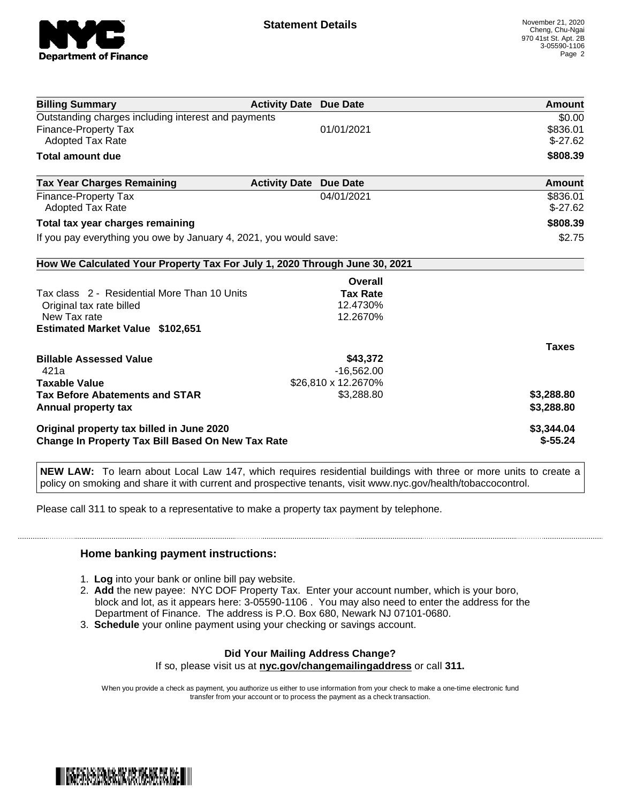

| <b>Billing Summary</b>                                                     | <b>Activity Date Due Date</b> |                     | Amount       |
|----------------------------------------------------------------------------|-------------------------------|---------------------|--------------|
| Outstanding charges including interest and payments                        | \$0.00                        |                     |              |
| <b>Finance-Property Tax</b>                                                |                               | 01/01/2021          | \$836.01     |
| Adopted Tax Rate                                                           |                               |                     | $$-27.62$    |
| <b>Total amount due</b>                                                    |                               |                     | \$808.39     |
| <b>Tax Year Charges Remaining</b>                                          | <b>Activity Date</b>          | <b>Due Date</b>     | Amount       |
| <b>Finance-Property Tax</b>                                                |                               | 04/01/2021          | \$836.01     |
| <b>Adopted Tax Rate</b>                                                    |                               |                     | $$-27.62$    |
| Total tax year charges remaining                                           | \$808.39                      |                     |              |
| If you pay everything you owe by January 4, 2021, you would save:          | \$2.75                        |                     |              |
| How We Calculated Your Property Tax For July 1, 2020 Through June 30, 2021 |                               |                     |              |
|                                                                            |                               | Overall             |              |
| Tax class 2 - Residential More Than 10 Units                               |                               | <b>Tax Rate</b>     |              |
| Original tax rate billed                                                   |                               | 12.4730%            |              |
| New Tax rate                                                               |                               | 12.2670%            |              |
| <b>Estimated Market Value \$102,651</b>                                    |                               |                     |              |
|                                                                            |                               |                     | <b>Taxes</b> |
| <b>Billable Assessed Value</b>                                             |                               | \$43,372            |              |
| 421a                                                                       |                               | $-16,562.00$        |              |
| <b>Taxable Value</b>                                                       |                               | \$26,810 x 12.2670% |              |
| <b>Tax Before Abatements and STAR</b>                                      |                               | \$3,288.80          | \$3,288.80   |
| Annual property tax                                                        |                               |                     | \$3,288.80   |
| Original property tax billed in June 2020                                  | \$3,344.04                    |                     |              |
| <b>Change In Property Tax Bill Based On New Tax Rate</b>                   | $$-55.24$                     |                     |              |

**NEW LAW:** To learn about Local Law 147, which requires residential buildings with three or more units to create a policy on smoking and share it with current and prospective tenants, visit www.nyc.gov/health/tobaccocontrol.

Please call 311 to speak to a representative to make a property tax payment by telephone.

## **Home banking payment instructions:**

- 1. **Log** into your bank or online bill pay website.
- 2. **Add** the new payee: NYC DOF Property Tax. Enter your account number, which is your boro, block and lot, as it appears here: 3-05590-1106 . You may also need to enter the address for the Department of Finance. The address is P.O. Box 680, Newark NJ 07101-0680.
- 3. **Schedule** your online payment using your checking or savings account.

## **Did Your Mailing Address Change?**

If so, please visit us at **nyc.gov/changemailingaddress** or call **311.**

When you provide a check as payment, you authorize us either to use information from your check to make a one-time electronic fund transfer from your account or to process the payment as a check transaction.